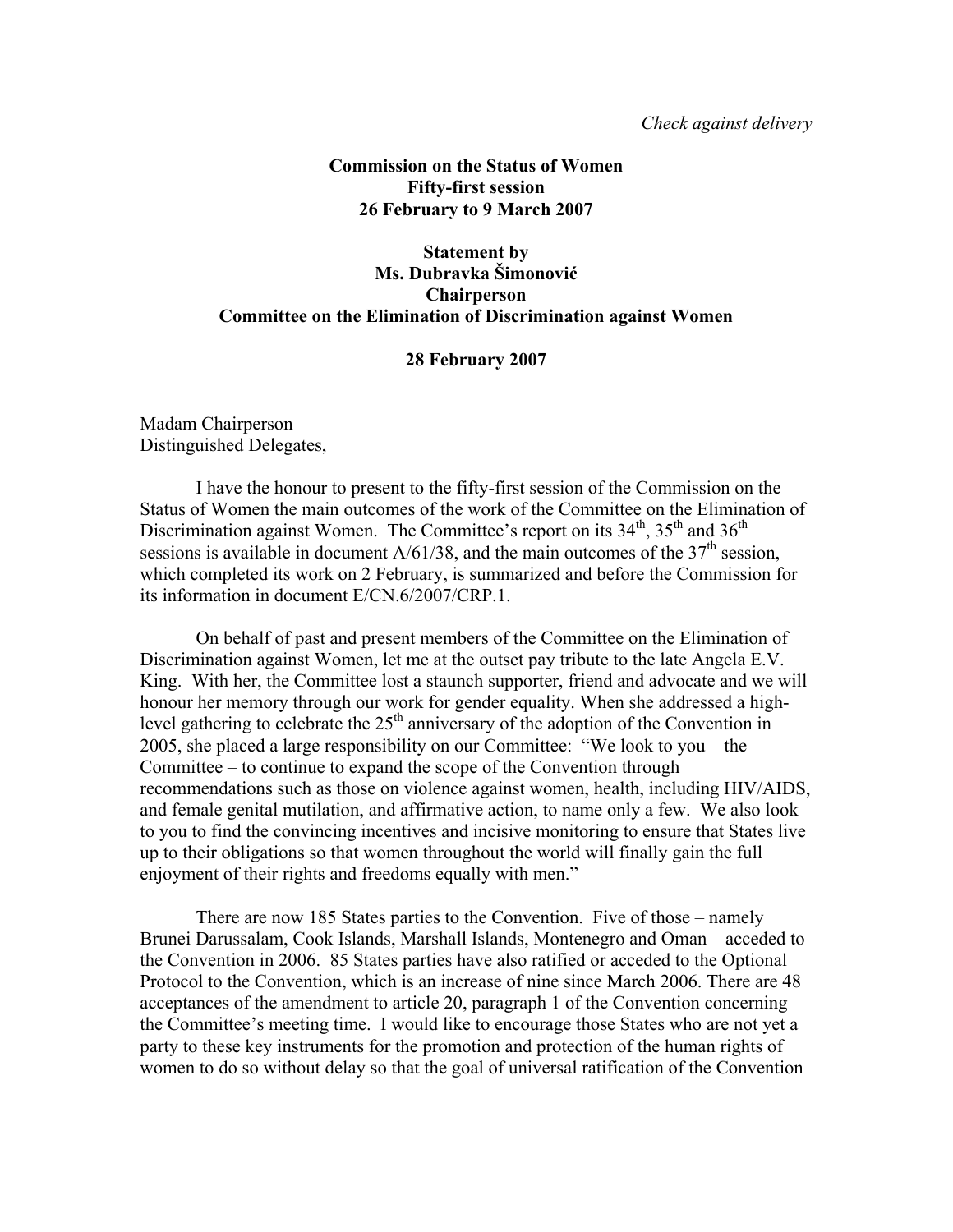## **Commission on the Status of Women Fifty-first session 26 February to 9 March 2007**

# **Statement by Ms. Dubravka Šimonović Chairperson Committee on the Elimination of Discrimination against Women**

## **28 February 2007**

Madam Chairperson Distinguished Delegates,

 I have the honour to present to the fifty-first session of the Commission on the Status of Women the main outcomes of the work of the Committee on the Elimination of Discrimination against Women. The Committee's report on its  $34<sup>th</sup>$ ,  $35<sup>th</sup>$  and  $36<sup>th</sup>$ sessions is available in document  $A/61/38$ , and the main outcomes of the  $37<sup>th</sup>$  session, which completed its work on 2 February, is summarized and before the Commission for its information in document E/CN.6/2007/CRP.1.

On behalf of past and present members of the Committee on the Elimination of Discrimination against Women, let me at the outset pay tribute to the late Angela E.V. King. With her, the Committee lost a staunch supporter, friend and advocate and we will honour her memory through our work for gender equality. When she addressed a highlevel gathering to celebrate the  $25<sup>th</sup>$  anniversary of the adoption of the Convention in 2005, she placed a large responsibility on our Committee: "We look to you – the Committee – to continue to expand the scope of the Convention through recommendations such as those on violence against women, health, including HIV/AIDS, and female genital mutilation, and affirmative action, to name only a few. We also look to you to find the convincing incentives and incisive monitoring to ensure that States live up to their obligations so that women throughout the world will finally gain the full enjoyment of their rights and freedoms equally with men."

 There are now 185 States parties to the Convention. Five of those – namely Brunei Darussalam, Cook Islands, Marshall Islands, Montenegro and Oman – acceded to the Convention in 2006. 85 States parties have also ratified or acceded to the Optional Protocol to the Convention, which is an increase of nine since March 2006. There are 48 acceptances of the amendment to article 20, paragraph 1 of the Convention concerning the Committee's meeting time. I would like to encourage those States who are not yet a party to these key instruments for the promotion and protection of the human rights of women to do so without delay so that the goal of universal ratification of the Convention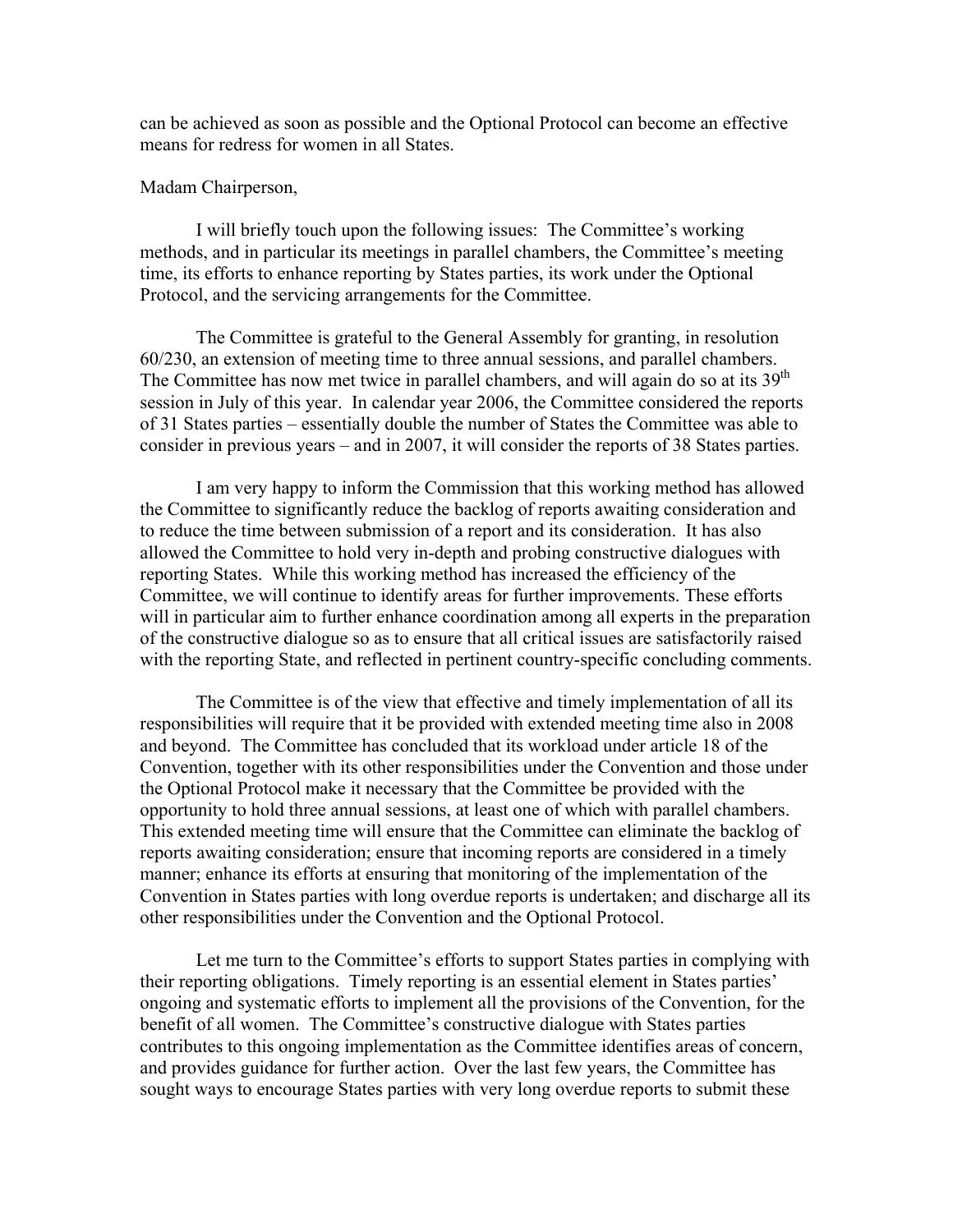can be achieved as soon as possible and the Optional Protocol can become an effective means for redress for women in all States.

### Madam Chairperson,

 I will briefly touch upon the following issues: The Committee's working methods, and in particular its meetings in parallel chambers, the Committee's meeting time, its efforts to enhance reporting by States parties, its work under the Optional Protocol, and the servicing arrangements for the Committee.

The Committee is grateful to the General Assembly for granting, in resolution 60/230, an extension of meeting time to three annual sessions, and parallel chambers. The Committee has now met twice in parallel chambers, and will again do so at its  $39<sup>th</sup>$ session in July of this year. In calendar year 2006, the Committee considered the reports of 31 States parties – essentially double the number of States the Committee was able to consider in previous years – and in 2007, it will consider the reports of 38 States parties.

I am very happy to inform the Commission that this working method has allowed the Committee to significantly reduce the backlog of reports awaiting consideration and to reduce the time between submission of a report and its consideration. It has also allowed the Committee to hold very in-depth and probing constructive dialogues with reporting States. While this working method has increased the efficiency of the Committee, we will continue to identify areas for further improvements. These efforts will in particular aim to further enhance coordination among all experts in the preparation of the constructive dialogue so as to ensure that all critical issues are satisfactorily raised with the reporting State, and reflected in pertinent country-specific concluding comments.

The Committee is of the view that effective and timely implementation of all its responsibilities will require that it be provided with extended meeting time also in 2008 and beyond. The Committee has concluded that its workload under article 18 of the Convention, together with its other responsibilities under the Convention and those under the Optional Protocol make it necessary that the Committee be provided with the opportunity to hold three annual sessions, at least one of which with parallel chambers. This extended meeting time will ensure that the Committee can eliminate the backlog of reports awaiting consideration; ensure that incoming reports are considered in a timely manner; enhance its efforts at ensuring that monitoring of the implementation of the Convention in States parties with long overdue reports is undertaken; and discharge all its other responsibilities under the Convention and the Optional Protocol.

Let me turn to the Committee's efforts to support States parties in complying with their reporting obligations. Timely reporting is an essential element in States parties' ongoing and systematic efforts to implement all the provisions of the Convention, for the benefit of all women. The Committee's constructive dialogue with States parties contributes to this ongoing implementation as the Committee identifies areas of concern, and provides guidance for further action. Over the last few years, the Committee has sought ways to encourage States parties with very long overdue reports to submit these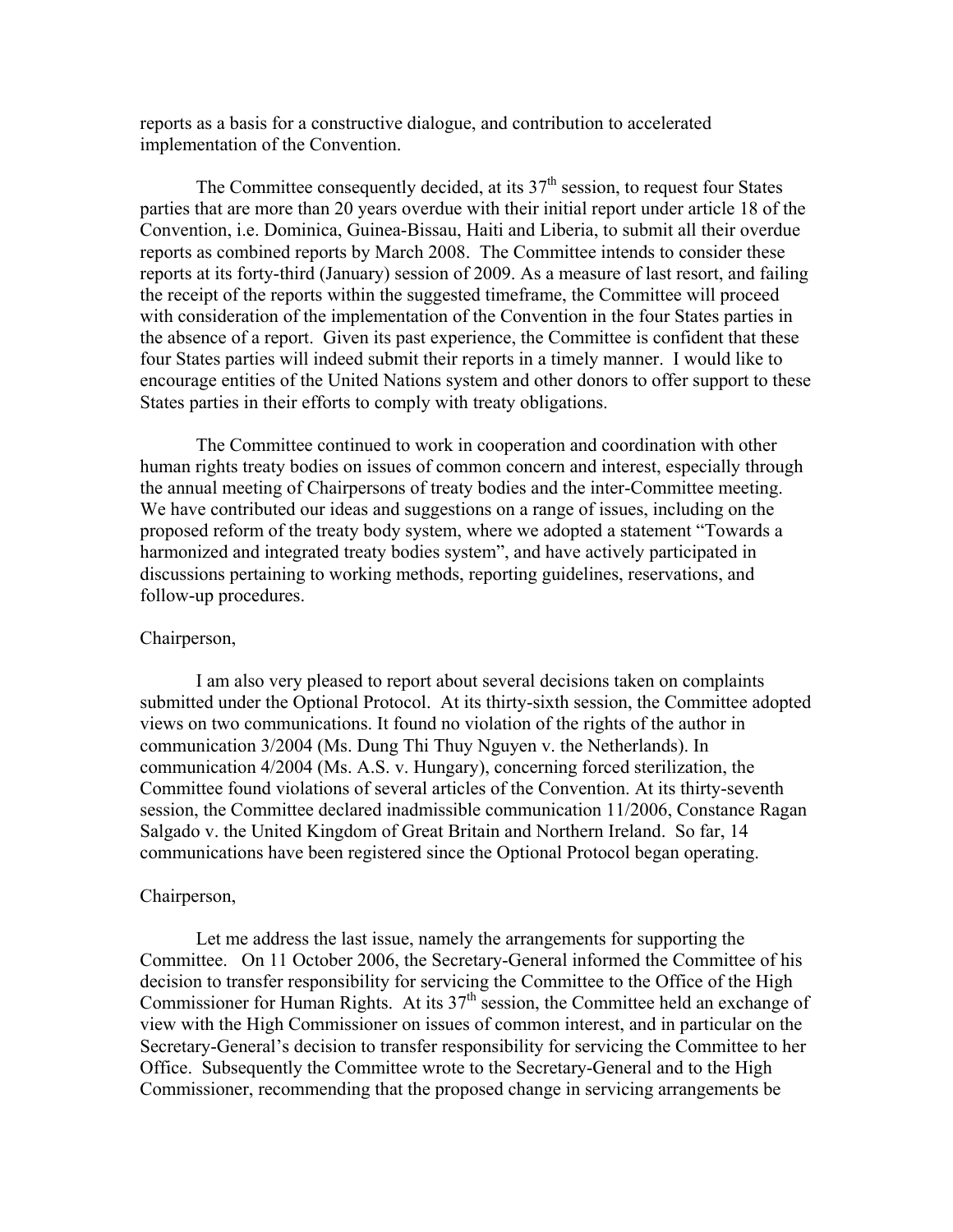reports as a basis for a constructive dialogue, and contribution to accelerated implementation of the Convention.

The Committee consequently decided, at its  $37<sup>th</sup>$  session, to request four States parties that are more than 20 years overdue with their initial report under article 18 of the Convention, i.e. Dominica, Guinea-Bissau, Haiti and Liberia, to submit all their overdue reports as combined reports by March 2008. The Committee intends to consider these reports at its forty-third (January) session of 2009. As a measure of last resort, and failing the receipt of the reports within the suggested timeframe, the Committee will proceed with consideration of the implementation of the Convention in the four States parties in the absence of a report. Given its past experience, the Committee is confident that these four States parties will indeed submit their reports in a timely manner. I would like to encourage entities of the United Nations system and other donors to offer support to these States parties in their efforts to comply with treaty obligations.

The Committee continued to work in cooperation and coordination with other human rights treaty bodies on issues of common concern and interest, especially through the annual meeting of Chairpersons of treaty bodies and the inter-Committee meeting. We have contributed our ideas and suggestions on a range of issues, including on the proposed reform of the treaty body system, where we adopted a statement "Towards a harmonized and integrated treaty bodies system", and have actively participated in discussions pertaining to working methods, reporting guidelines, reservations, and follow-up procedures.

#### Chairperson,

 I am also very pleased to report about several decisions taken on complaints submitted under the Optional Protocol. At its thirty-sixth session, the Committee adopted views on two communications. It found no violation of the rights of the author in communication 3/2004 (Ms. Dung Thi Thuy Nguyen v. the Netherlands). In communication 4/2004 (Ms. A.S. v. Hungary), concerning forced sterilization, the Committee found violations of several articles of the Convention. At its thirty-seventh session, the Committee declared inadmissible communication 11/2006, Constance Ragan Salgado v. the United Kingdom of Great Britain and Northern Ireland. So far, 14 communications have been registered since the Optional Protocol began operating.

#### Chairperson,

Let me address the last issue, namely the arrangements for supporting the Committee. On 11 October 2006, the Secretary-General informed the Committee of his decision to transfer responsibility for servicing the Committee to the Office of the High Commissioner for Human Rights. At its  $37<sup>th</sup>$  session, the Committee held an exchange of view with the High Commissioner on issues of common interest, and in particular on the Secretary-General's decision to transfer responsibility for servicing the Committee to her Office. Subsequently the Committee wrote to the Secretary-General and to the High Commissioner, recommending that the proposed change in servicing arrangements be